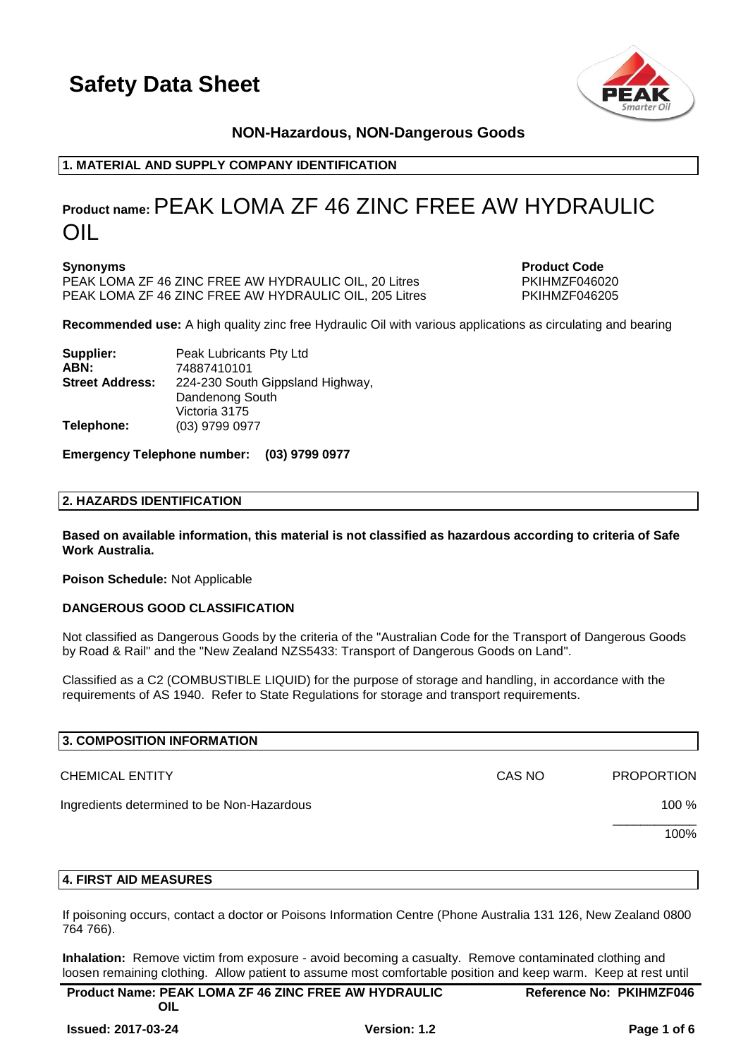

# **NON-Hazardous, NON-Dangerous Goods**

# **1. MATERIAL AND SUPPLY COMPANY IDENTIFICATION**

# **Product name:**PEAK LOMA ZF 46 ZINC FREE AW HYDRAULIC OIL

**Synonyms Product Code** PEAK LOMA ZF 46 ZINC FREE AW HYDRAULIC OIL, 20 Litres PKIHMZF046020 PEAK LOMA ZF 46 ZINC FREE AW HYDRAULIC OIL, 205 Litres PKIHMZF046205

**Recommended use:** A high quality zinc free Hydraulic Oil with various applications as circulating and bearing

| Supplier:              | Peak Lubricants Pty Ltd          |
|------------------------|----------------------------------|
| ABN:                   | 74887410101                      |
| <b>Street Address:</b> | 224-230 South Gippsland Highway, |
|                        | Dandenong South                  |
|                        | Victoria 3175                    |
| Telephone:             | (03) 9799 0977                   |

#### **Emergency Telephone number: (03) 9799 0977**

#### **2. HAZARDS IDENTIFICATION**

**Based on available information, this material is not classified as hazardous according to criteria of Safe Work Australia.**

**Poison Schedule:** Not Applicable

#### **DANGEROUS GOOD CLASSIFICATION**

Not classified as Dangerous Goods by the criteria of the "Australian Code for the Transport of Dangerous Goods by Road & Rail" and the "New Zealand NZS5433: Transport of Dangerous Goods on Land".

Classified as a C2 (COMBUSTIBLE LIQUID) for the purpose of storage and handling, in accordance with the requirements of AS 1940. Refer to State Regulations for storage and transport requirements.

| 3. COMPOSITION INFORMATION                 |        |                   |
|--------------------------------------------|--------|-------------------|
| <b>CHEMICAL ENTITY</b>                     | CAS NO | <b>PROPORTION</b> |
| Ingredients determined to be Non-Hazardous |        | 100 %             |
|                                            |        | 100%              |
|                                            |        |                   |

#### **4. FIRST AID MEASURES**

If poisoning occurs, contact a doctor or Poisons Information Centre (Phone Australia 131 126, New Zealand 0800 764 766).

**Inhalation:** Remove victim from exposure - avoid becoming a casualty. Remove contaminated clothing and loosen remaining clothing. Allow patient to assume most comfortable position and keep warm. Keep at rest until

| <b>Product Name: PEAK LOMA ZF 46 ZINC FREE AW HYDRAULIC</b> | <b>Reference No: PKIHMZF046</b> |
|-------------------------------------------------------------|---------------------------------|
| OIL                                                         |                                 |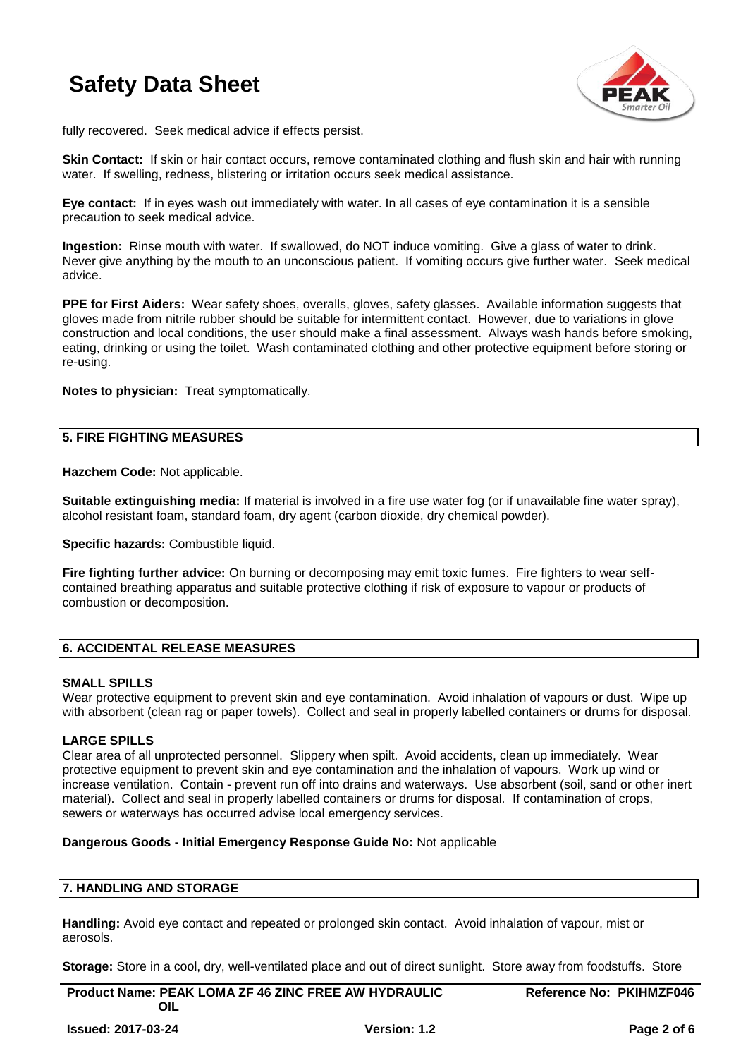

fully recovered. Seek medical advice if effects persist.

**Skin Contact:** If skin or hair contact occurs, remove contaminated clothing and flush skin and hair with running water. If swelling, redness, blistering or irritation occurs seek medical assistance.

**Eye contact:** If in eyes wash out immediately with water. In all cases of eye contamination it is a sensible precaution to seek medical advice.

**Ingestion:** Rinse mouth with water. If swallowed, do NOT induce vomiting. Give a glass of water to drink. Never give anything by the mouth to an unconscious patient. If vomiting occurs give further water. Seek medical advice.

**PPE for First Aiders:** Wear safety shoes, overalls, gloves, safety glasses. Available information suggests that gloves made from nitrile rubber should be suitable for intermittent contact. However, due to variations in glove construction and local conditions, the user should make a final assessment. Always wash hands before smoking, eating, drinking or using the toilet. Wash contaminated clothing and other protective equipment before storing or re-using.

**Notes to physician:** Treat symptomatically.

#### **5. FIRE FIGHTING MEASURES**

**Hazchem Code:** Not applicable.

**Suitable extinguishing media:** If material is involved in a fire use water fog (or if unavailable fine water spray), alcohol resistant foam, standard foam, dry agent (carbon dioxide, dry chemical powder).

**Specific hazards: Combustible liquid.** 

**Fire fighting further advice:** On burning or decomposing may emit toxic fumes. Fire fighters to wear selfcontained breathing apparatus and suitable protective clothing if risk of exposure to vapour or products of combustion or decomposition.

## **6. ACCIDENTAL RELEASE MEASURES**

#### **SMALL SPILLS**

Wear protective equipment to prevent skin and eye contamination. Avoid inhalation of vapours or dust. Wipe up with absorbent (clean rag or paper towels). Collect and seal in properly labelled containers or drums for disposal.

#### **LARGE SPILLS**

Clear area of all unprotected personnel. Slippery when spilt. Avoid accidents, clean up immediately. Wear protective equipment to prevent skin and eye contamination and the inhalation of vapours. Work up wind or increase ventilation. Contain - prevent run off into drains and waterways. Use absorbent (soil, sand or other inert material). Collect and seal in properly labelled containers or drums for disposal. If contamination of crops, sewers or waterways has occurred advise local emergency services.

#### **Dangerous Goods - Initial Emergency Response Guide No:** Not applicable

#### **7. HANDLING AND STORAGE**

**Handling:** Avoid eye contact and repeated or prolonged skin contact. Avoid inhalation of vapour, mist or aerosols.

**Storage:** Store in a cool, dry, well-ventilated place and out of direct sunlight. Store away from foodstuffs. Store

**Product Name: PEAK LOMA ZF 46 ZINC FREE AW HYDRAULIC OIL**

**Reference No: PKIHMZF046**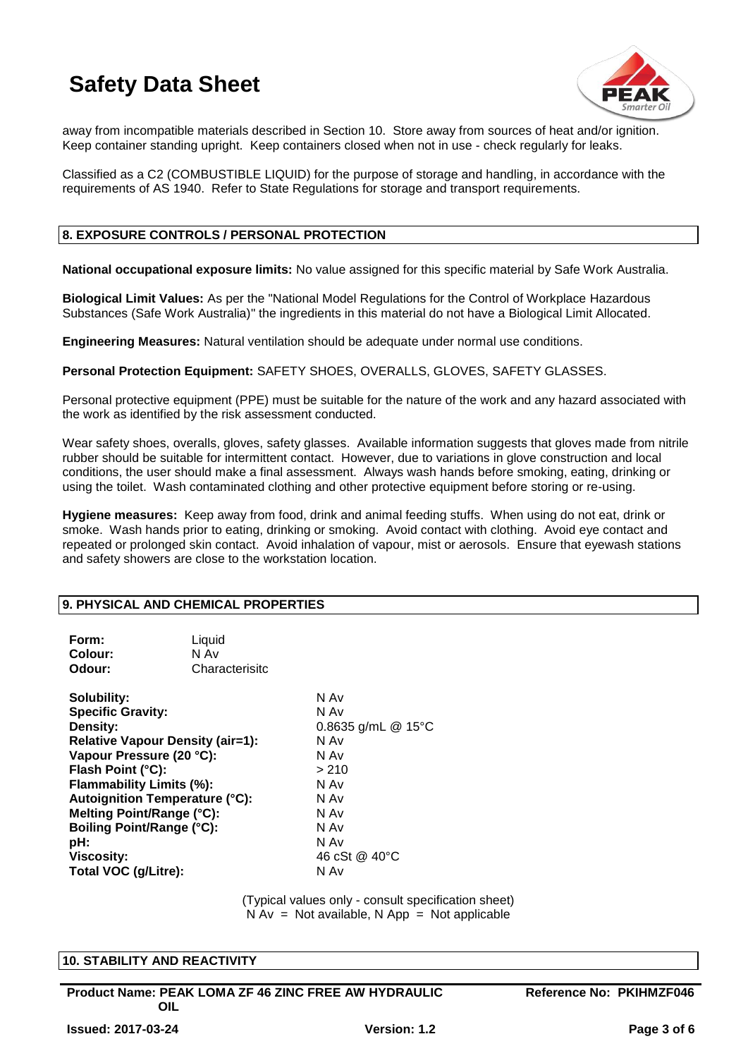

away from incompatible materials described in Section 10. Store away from sources of heat and/or ignition. Keep container standing upright. Keep containers closed when not in use - check regularly for leaks.

Classified as a C2 (COMBUSTIBLE LIQUID) for the purpose of storage and handling, in accordance with the requirements of AS 1940. Refer to State Regulations for storage and transport requirements.

## **8. EXPOSURE CONTROLS / PERSONAL PROTECTION**

**National occupational exposure limits:** No value assigned for this specific material by Safe Work Australia.

**Biological Limit Values:** As per the "National Model Regulations for the Control of Workplace Hazardous Substances (Safe Work Australia)" the ingredients in this material do not have a Biological Limit Allocated.

**Engineering Measures:** Natural ventilation should be adequate under normal use conditions.

**Personal Protection Equipment:** SAFETY SHOES, OVERALLS, GLOVES, SAFETY GLASSES.

Personal protective equipment (PPE) must be suitable for the nature of the work and any hazard associated with the work as identified by the risk assessment conducted.

Wear safety shoes, overalls, gloves, safety glasses. Available information suggests that gloves made from nitrile rubber should be suitable for intermittent contact. However, due to variations in glove construction and local conditions, the user should make a final assessment. Always wash hands before smoking, eating, drinking or using the toilet. Wash contaminated clothing and other protective equipment before storing or re-using.

**Hygiene measures:** Keep away from food, drink and animal feeding stuffs. When using do not eat, drink or smoke. Wash hands prior to eating, drinking or smoking. Avoid contact with clothing. Avoid eye contact and repeated or prolonged skin contact. Avoid inhalation of vapour, mist or aerosols. Ensure that eyewash stations and safety showers are close to the workstation location.

#### **9. PHYSICAL AND CHEMICAL PROPERTIES**

| Form:<br>Colour:<br>Odour:                                                                                                                                                                                                                                                                                                                | Liquid<br>N Av<br>Characterisitc |                                                                                                                                 |
|-------------------------------------------------------------------------------------------------------------------------------------------------------------------------------------------------------------------------------------------------------------------------------------------------------------------------------------------|----------------------------------|---------------------------------------------------------------------------------------------------------------------------------|
| Solubility:<br><b>Specific Gravity:</b><br>Density:<br><b>Relative Vapour Density (air=1):</b><br>Vapour Pressure (20 °C):<br>Flash Point (°C):<br>Flammability Limits (%):<br><b>Autoignition Temperature (°C):</b><br>Melting Point/Range (°C):<br><b>Boiling Point/Range (°C):</b><br>pH:<br><b>Viscosity:</b><br>Total VOC (g/Litre): |                                  | N Av<br>N Av<br>0.8635 g/mL $@$ 15°C<br>N Av<br>N Av<br>> 210<br>N Av<br>N Av<br>N Av<br>N Av<br>N Av<br>46 cSt @ 40 °C<br>N Av |

(Typical values only - consult specification sheet)  $N Av = Not available, N App = Not applicable$ 

#### **10. STABILITY AND REACTIVITY**

**Product Name: PEAK LOMA ZF 46 ZINC FREE AW HYDRAULIC OIL**

**Reference No: PKIHMZF046**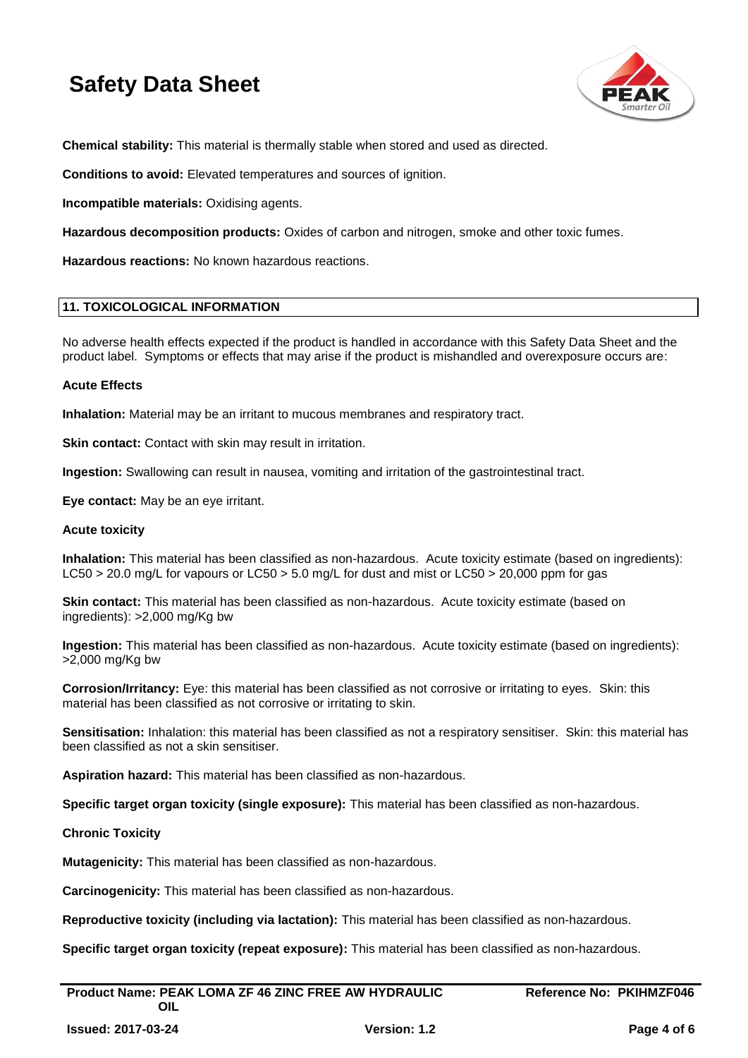

**Chemical stability:** This material is thermally stable when stored and used as directed.

**Conditions to avoid:** Elevated temperatures and sources of ignition.

**Incompatible materials:** Oxidising agents.

**Hazardous decomposition products:** Oxides of carbon and nitrogen, smoke and other toxic fumes.

**Hazardous reactions:** No known hazardous reactions.

#### **11. TOXICOLOGICAL INFORMATION**

No adverse health effects expected if the product is handled in accordance with this Safety Data Sheet and the product label. Symptoms or effects that may arise if the product is mishandled and overexposure occurs are:

#### **Acute Effects**

**Inhalation:** Material may be an irritant to mucous membranes and respiratory tract.

**Skin contact:** Contact with skin may result in irritation.

**Ingestion:** Swallowing can result in nausea, vomiting and irritation of the gastrointestinal tract.

**Eye contact:** May be an eye irritant.

#### **Acute toxicity**

**Inhalation:** This material has been classified as non-hazardous. Acute toxicity estimate (based on ingredients): LC50 > 20.0 mg/L for vapours or LC50 > 5.0 mg/L for dust and mist or LC50 > 20,000 ppm for gas

**Skin contact:** This material has been classified as non-hazardous. Acute toxicity estimate (based on ingredients): >2,000 mg/Kg bw

**Ingestion:** This material has been classified as non-hazardous. Acute toxicity estimate (based on ingredients): >2,000 mg/Kg bw

**Corrosion/Irritancy:** Eye: this material has been classified as not corrosive or irritating to eyes. Skin: this material has been classified as not corrosive or irritating to skin.

**Sensitisation:** Inhalation: this material has been classified as not a respiratory sensitiser. Skin: this material has been classified as not a skin sensitiser.

**Aspiration hazard:** This material has been classified as non-hazardous.

**Specific target organ toxicity (single exposure):** This material has been classified as non-hazardous.

#### **Chronic Toxicity**

**Mutagenicity:** This material has been classified as non-hazardous.

**Carcinogenicity:** This material has been classified as non-hazardous.

**Reproductive toxicity (including via lactation):** This material has been classified as non-hazardous.

**Specific target organ toxicity (repeat exposure):** This material has been classified as non-hazardous.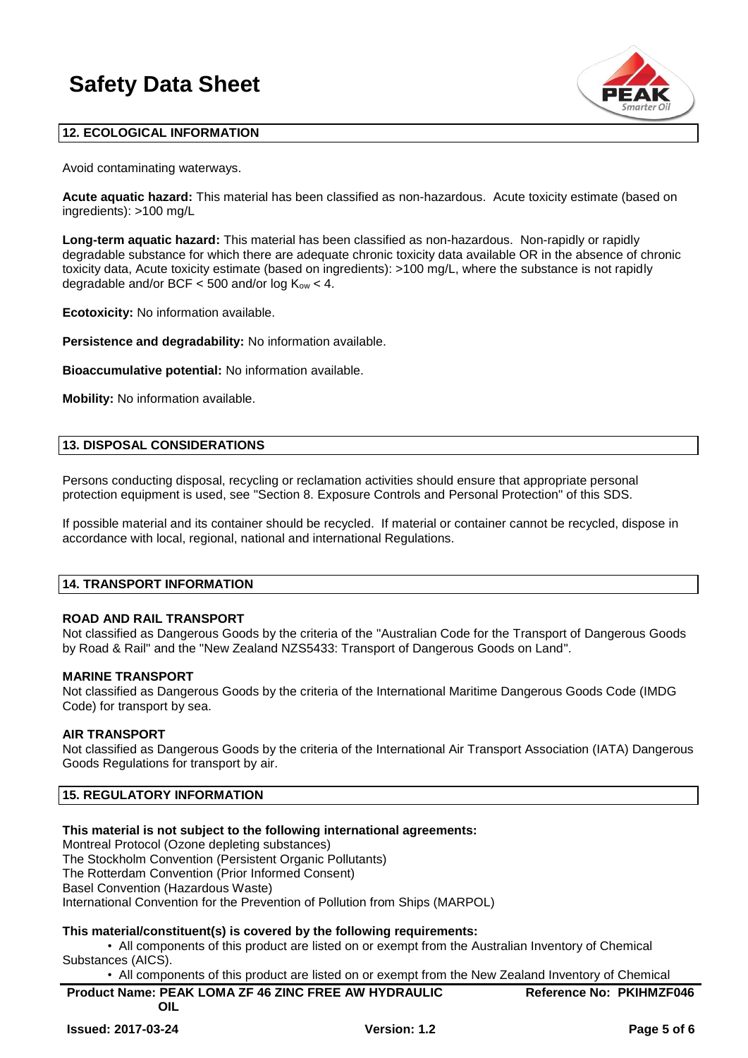

# **12. ECOLOGICAL INFORMATION**

Avoid contaminating waterways.

**Acute aquatic hazard:** This material has been classified as non-hazardous. Acute toxicity estimate (based on ingredients): >100 mg/L

**Long-term aquatic hazard:** This material has been classified as non-hazardous. Non-rapidly or rapidly degradable substance for which there are adequate chronic toxicity data available OR in the absence of chronic toxicity data, Acute toxicity estimate (based on ingredients): >100 mg/L, where the substance is not rapidly degradable and/or BCF  $<$  500 and/or log  $K_{ow}$   $<$  4.

**Ecotoxicity:** No information available.

**Persistence and degradability:** No information available.

**Bioaccumulative potential:** No information available.

**Mobility:** No information available.

#### **13. DISPOSAL CONSIDERATIONS**

Persons conducting disposal, recycling or reclamation activities should ensure that appropriate personal protection equipment is used, see "Section 8. Exposure Controls and Personal Protection" of this SDS.

If possible material and its container should be recycled. If material or container cannot be recycled, dispose in accordance with local, regional, national and international Regulations.

#### **14. TRANSPORT INFORMATION**

## **ROAD AND RAIL TRANSPORT**

Not classified as Dangerous Goods by the criteria of the "Australian Code for the Transport of Dangerous Goods by Road & Rail" and the "New Zealand NZS5433: Transport of Dangerous Goods on Land".

#### **MARINE TRANSPORT**

Not classified as Dangerous Goods by the criteria of the International Maritime Dangerous Goods Code (IMDG Code) for transport by sea.

## **AIR TRANSPORT**

Not classified as Dangerous Goods by the criteria of the International Air Transport Association (IATA) Dangerous Goods Regulations for transport by air.

# **15. REGULATORY INFORMATION**

## **This material is not subject to the following international agreements:**

Montreal Protocol (Ozone depleting substances) The Stockholm Convention (Persistent Organic Pollutants) The Rotterdam Convention (Prior Informed Consent) Basel Convention (Hazardous Waste) International Convention for the Prevention of Pollution from Ships (MARPOL)

## **This material/constituent(s) is covered by the following requirements:**

• All components of this product are listed on or exempt from the Australian Inventory of Chemical Substances (AICS).

• All components of this product are listed on or exempt from the New Zealand Inventory of Chemical

| <b>Product Name: PEAK LOMA ZF 46 ZINC FREE AW HYDRAULIC</b> | <b>Reference No: PKIHMZF046</b> |
|-------------------------------------------------------------|---------------------------------|
| OIL                                                         |                                 |